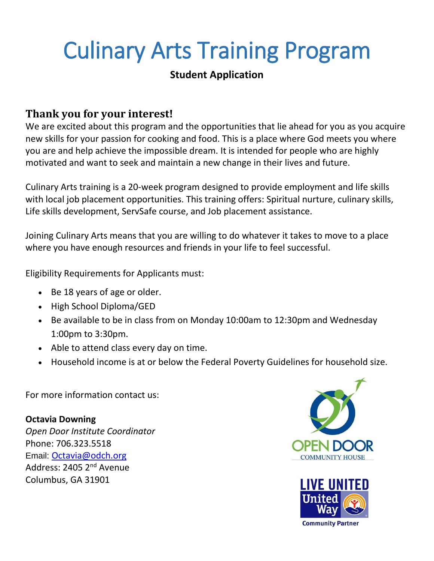# Culinary Arts Training Program

## **Student Application**

# **Thank you for your interest!**

We are excited about this program and the opportunities that lie ahead for you as you acquire new skills for your passion for cooking and food. This is a place where God meets you where you are and help achieve the impossible dream. It is intended for people who are highly motivated and want to seek and maintain a new change in their lives and future.

Culinary Arts training is a 20-week program designed to provide employment and life skills with local job placement opportunities. This training offers: Spiritual nurture, culinary skills, Life skills development, ServSafe course, and Job placement assistance.

Joining Culinary Arts means that you are willing to do whatever it takes to move to a place where you have enough resources and friends in your life to feel successful.

Eligibility Requirements for Applicants must:

- Be 18 years of age or older.
- High School Diploma/GED
- Be available to be in class from on Monday 10:00am to 12:30pm and Wednesday 1:00pm to 3:30pm.
- Able to attend class every day on time.
- Household income is at or below the Federal Poverty Guidelines for household size.

For more information contact us:

### **Octavia Downing**

*Open Door Institute Coordinator* Phone: 706.323.5518 Email: [Octavia@odch.org](mailto:Octavia@odch.org) Address: 2405 2nd Avenue Columbus, GA 31901



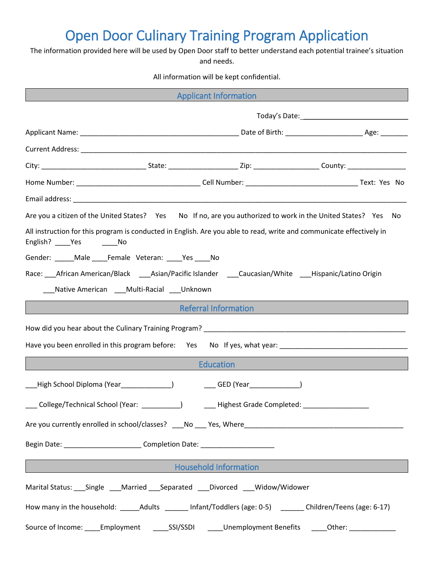# Open Door Culinary Training Program Application

The information provided here will be used by Open Door staff to better understand each potential trainee's situation and needs.

All information will be kept confidential.

| <b>Applicant Information</b><br><u> 1989 - Johann Stein, marwolaethau a bhann an t-Amhain an t-Amhain an t-Amhain an t-Amhain an t-Amhain an t-A</u>                                                                                 |  |  |  |  |
|--------------------------------------------------------------------------------------------------------------------------------------------------------------------------------------------------------------------------------------|--|--|--|--|
|                                                                                                                                                                                                                                      |  |  |  |  |
|                                                                                                                                                                                                                                      |  |  |  |  |
|                                                                                                                                                                                                                                      |  |  |  |  |
|                                                                                                                                                                                                                                      |  |  |  |  |
|                                                                                                                                                                                                                                      |  |  |  |  |
|                                                                                                                                                                                                                                      |  |  |  |  |
| Are you a citizen of the United States? Yes No If no, are you authorized to work in the United States? Yes No                                                                                                                        |  |  |  |  |
| All instruction for this program is conducted in English. Are you able to read, write and communicate effectively in<br>English? _____Yes _________No                                                                                |  |  |  |  |
| Gender: _____ Male ____ Female Veteran: ____ Yes ____ No                                                                                                                                                                             |  |  |  |  |
| Race: ___African American/Black ____Asian/Pacific Islander ____Caucasian/White ____Hispanic/Latino Origin                                                                                                                            |  |  |  |  |
| Native American Multi-Racial Unknown                                                                                                                                                                                                 |  |  |  |  |
| Referral Information<br><u> 1990 - Johann Barn, mars eta inperiodor eta inperiodor eta inperiodor eta inperiodor eta inperiodor eta inpe</u>                                                                                         |  |  |  |  |
|                                                                                                                                                                                                                                      |  |  |  |  |
|                                                                                                                                                                                                                                      |  |  |  |  |
| Education                                                                                                                                                                                                                            |  |  |  |  |
| [High School Diploma (Year_______________)     ____GED (Year________________)                                                                                                                                                        |  |  |  |  |
| College/Technical School (Year: __________)<br>___ Highest Grade Completed:                                                                                                                                                          |  |  |  |  |
|                                                                                                                                                                                                                                      |  |  |  |  |
| Begin Date: ___________________________Completion Date: ________________________                                                                                                                                                     |  |  |  |  |
| <b>Example 2018 The Contract Contract Contract Contract Contract Contract Contract Contract Contract Contract Contract Contract Contract Contract Contract Contract Contract Contract Contract Contract Contract Contract Contra</b> |  |  |  |  |
| Marital Status: ___ Single ____ Married ____ Separated ____ Divorced ____ Widow/Widower                                                                                                                                              |  |  |  |  |
| How many in the household: ______Adults _______ Infant/Toddlers (age: 0-5) _______ Children/Teens (age: 6-17)                                                                                                                        |  |  |  |  |
| Source of Income: _____Employment _______SSI/SSDI ______Unemployment Benefits ______Other: ______________                                                                                                                            |  |  |  |  |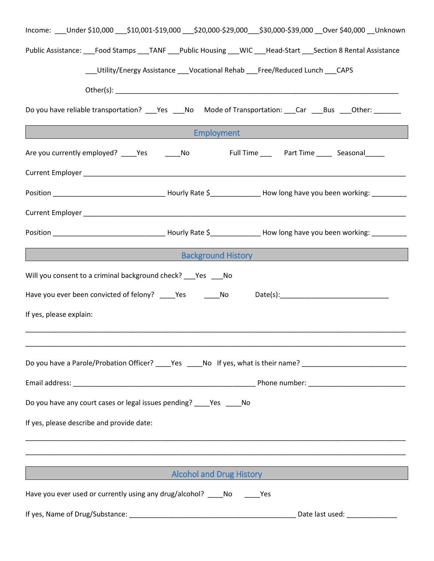| Income: ___Under \$10,000 ___\$10,001-\$19,000 ___\$20,000-\$29,000 __\$30,000-\$39,000 __Over \$40,000 __Unknown                                                                                                                    |  |  |  |  |
|--------------------------------------------------------------------------------------------------------------------------------------------------------------------------------------------------------------------------------------|--|--|--|--|
| Public Assistance: ___Food Stamps ___TANF ___Public Housing ___WIC ___Head-Start ___Section 8 Rental Assistance                                                                                                                      |  |  |  |  |
| __Utility/Energy Assistance ___Vocational Rehab ___Free/Reduced Lunch ___ CAPS                                                                                                                                                       |  |  |  |  |
|                                                                                                                                                                                                                                      |  |  |  |  |
|                                                                                                                                                                                                                                      |  |  |  |  |
| Do you have reliable transportation? ___Yes ___No Mode of Transportation: ___Car ___Bus ___Other: _______                                                                                                                            |  |  |  |  |
| <u>Employment and the contract of the contract of the contract of the contract of the contract of the contract of the contract of the contract of the contract of the contract of the contract of the contract of the contract o</u> |  |  |  |  |
|                                                                                                                                                                                                                                      |  |  |  |  |
|                                                                                                                                                                                                                                      |  |  |  |  |
|                                                                                                                                                                                                                                      |  |  |  |  |
|                                                                                                                                                                                                                                      |  |  |  |  |
|                                                                                                                                                                                                                                      |  |  |  |  |
| and the contract of the contract of the Background History and the contract of the contract of the contract of                                                                                                                       |  |  |  |  |
| Will you consent to a criminal background check? ___ Yes ___ No                                                                                                                                                                      |  |  |  |  |
| Have you ever been convicted of felony? _____Yes _______No ______Date(s):_________________________________                                                                                                                           |  |  |  |  |
|                                                                                                                                                                                                                                      |  |  |  |  |
| If yes, please explain:                                                                                                                                                                                                              |  |  |  |  |
|                                                                                                                                                                                                                                      |  |  |  |  |
| Do you have a Parole/Probation Officer? _____Yes _____No If yes, what is their name? _________________________                                                                                                                       |  |  |  |  |
|                                                                                                                                                                                                                                      |  |  |  |  |
|                                                                                                                                                                                                                                      |  |  |  |  |
| Do you have any court cases or legal issues pending? _____ Yes _____ No                                                                                                                                                              |  |  |  |  |
| If yes, please describe and provide date:                                                                                                                                                                                            |  |  |  |  |
| <u> 1989 - Johann Stoff, amerikansk politiker (d. 1989)</u>                                                                                                                                                                          |  |  |  |  |
|                                                                                                                                                                                                                                      |  |  |  |  |
| <b>Example 2018 19 Alexander Accohol and Drug History Alexander Accohol and Drug History</b>                                                                                                                                         |  |  |  |  |
| Have you ever used or currently using any drug/alcohol? _____ No ______ Yes                                                                                                                                                          |  |  |  |  |
|                                                                                                                                                                                                                                      |  |  |  |  |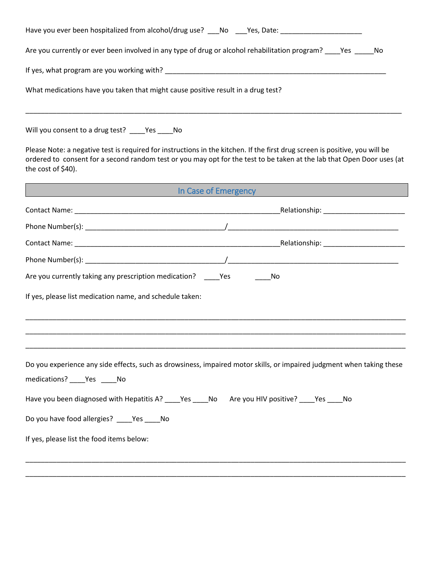| Have you ever been hospitalized from alcohol/drug use? No Yes, Date:                                  |  |  |  |
|-------------------------------------------------------------------------------------------------------|--|--|--|
| Are you currently or ever been involved in any type of drug or alcohol rehabilitation program? Pes No |  |  |  |
| If yes, what program are you working with?                                                            |  |  |  |
| What medications have you taken that might cause positive result in a drug test?                      |  |  |  |
|                                                                                                       |  |  |  |

Will you consent to a drug test? \_\_\_\_Yes \_\_\_\_No

Please Note: a negative test is required for instructions in the kitchen. If the first drug screen is positive, you will be ordered to consent for a second random test or you may opt for the test to be taken at the lab that Open Door uses (at the cost of \$40).

| In Case of Emergency and the case of the case of the case of the case of the case of the case of the case of the case of the case of the case of the case of the case of the case of the case of the case of the case of the c                             |  |  |
|------------------------------------------------------------------------------------------------------------------------------------------------------------------------------------------------------------------------------------------------------------|--|--|
|                                                                                                                                                                                                                                                            |  |  |
|                                                                                                                                                                                                                                                            |  |  |
|                                                                                                                                                                                                                                                            |  |  |
|                                                                                                                                                                                                                                                            |  |  |
| Are you currently taking any prescription medication? ______ Yes ___________ No                                                                                                                                                                            |  |  |
| If yes, please list medication name, and schedule taken:                                                                                                                                                                                                   |  |  |
| Do you experience any side effects, such as drowsiness, impaired motor skills, or impaired judgment when taking these<br>medications? _____ Yes ______ No<br>Have you been diagnosed with Hepatitis A? ____Yes ____No Are you HIV positive? ____Yes ____No |  |  |
| Do you have food allergies? ____Yes ____No                                                                                                                                                                                                                 |  |  |
| If yes, please list the food items below:                                                                                                                                                                                                                  |  |  |
|                                                                                                                                                                                                                                                            |  |  |